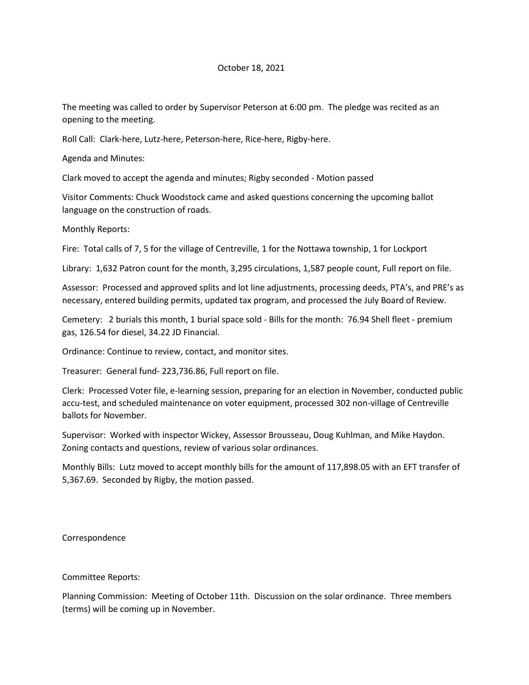## October 18, 2021

The meeting was called to order by Supervisor Peterson at 6:00 pm. The pledge was recited as an opening to the meeting.

Roll Call: Clark-here, Lutz-here, Peterson-here, Rice-here, Rigby-here.

Agenda and Minutes:

Clark moved to accept the agenda and minutes; Rigby seconded - Motion passed

Visitor Comments: Chuck Woodstock came and asked questions concerning the upcoming ballot language on the construction of roads.

Monthly Reports:

Fire: Total calls of 7, 5 for the village of Centreville, 1 for the Nottawa township, 1 for Lockport

Library: 1,632 Patron count for the month, 3,295 circulations, 1,587 people count, Full report on file.

Assessor: Processed and approved splits and lot line adjustments, processing deeds, PTA's, and PRE's as necessary, entered building permits, updated tax program, and processed the July Board of Review.

Cemetery: 2 burials this month, 1 burial space sold - Bills for the month: 76.94 Shell fleet - premium gas, 126.54 for diesel, 34.22 JD Financial.

Ordinance: Continue to review, contact, and monitor sites.

Treasurer: General fund- 223,736.86, Full report on file.

Clerk: Processed Voter file, e-learning session, preparing for an election in November, conducted public accu-test, and scheduled maintenance on voter equipment, processed 302 non-village of Centreville ballots for November.

Supervisor: Worked with inspector Wickey, Assessor Brousseau, Doug Kuhlman, and Mike Haydon. Zoning contacts and questions, review of various solar ordinances.

Monthly Bills: Lutz moved to accept monthly bills for the amount of 117,898.05 with an EFT transfer of 5,367.69. Seconded by Rigby, the motion passed.

Correspondence

Committee Reports:

Planning Commission: Meeting of October 11th. Discussion on the solar ordinance. Three members (terms) will be coming up in November.